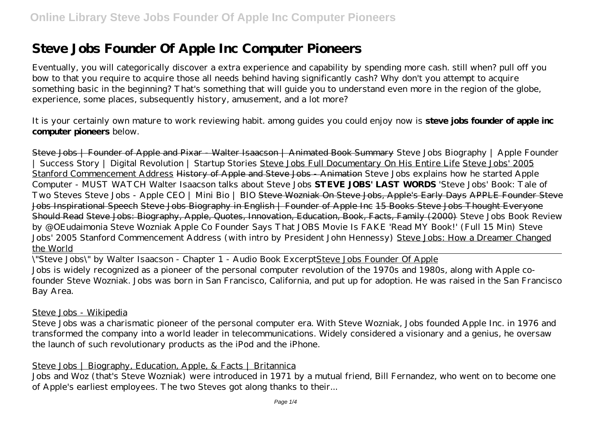# **Steve Jobs Founder Of Apple Inc Computer Pioneers**

Eventually, you will categorically discover a extra experience and capability by spending more cash. still when? pull off you bow to that you require to acquire those all needs behind having significantly cash? Why don't you attempt to acquire something basic in the beginning? That's something that will guide you to understand even more in the region of the globe, experience, some places, subsequently history, amusement, and a lot more?

It is your certainly own mature to work reviewing habit. among guides you could enjoy now is **steve jobs founder of apple inc computer pioneers** below.

Steve Jobs | Founder of Apple and Pixar - Walter Isaacson | Animated Book Summary *Steve Jobs Biography | Apple Founder | Success Story | Digital Revolution | Startup Stories* Steve Jobs Full Documentary On His Entire Life Steve Jobs' 2005 Stanford Commencement Address History of Apple and Steve Jobs - Animation *Steve Jobs explains how he started Apple Computer - MUST WATCH Walter Isaacson talks about Steve Jobs* **STEVE JOBS' LAST WORDS** *'Steve Jobs' Book: Tale of Two Steves* Steve Jobs - Apple CEO | Mini Bio | BIO Steve Wozniak On Steve Jobs, Apple's Early Days APPLE Founder Steve Jobs Inspirational Speech Steve Jobs Biography in English | Founder of Apple Inc 15 Books Steve Jobs Thought Everyone Should Read Steve Jobs: Biography, Apple, Quotes, Innovation, Education, Book, Facts, Family (2000) *Steve Jobs Book Review by @OEudaimonia Steve Wozniak Apple Co Founder Says That JOBS Movie Is FAKE 'Read MY Book!' (Full 15 Min) Steve Jobs' 2005 Stanford Commencement Address (with intro by President John Hennessy)* Steve Jobs: How a Dreamer Changed the World

\"Steve Jobs\" by Walter Isaacson - Chapter 1 - Audio Book ExcerptSteve Jobs Founder Of Apple Jobs is widely recognized as a pioneer of the personal computer revolution of the 1970s and 1980s, along with Apple cofounder Steve Wozniak. Jobs was born in San Francisco, California, and put up for adoption. He was raised in the San Francisco Bay Area.

#### Steve Jobs - Wikipedia

Steve Jobs was a charismatic pioneer of the personal computer era. With Steve Wozniak, Jobs founded Apple Inc. in 1976 and transformed the company into a world leader in telecommunications. Widely considered a visionary and a genius, he oversaw the launch of such revolutionary products as the iPod and the iPhone.

#### Steve Jobs | Biography, Education, Apple, & Facts | Britannica

Jobs and Woz (that's Steve Wozniak) were introduced in 1971 by a mutual friend, Bill Fernandez, who went on to become one of Apple's earliest employees. The two Steves got along thanks to their...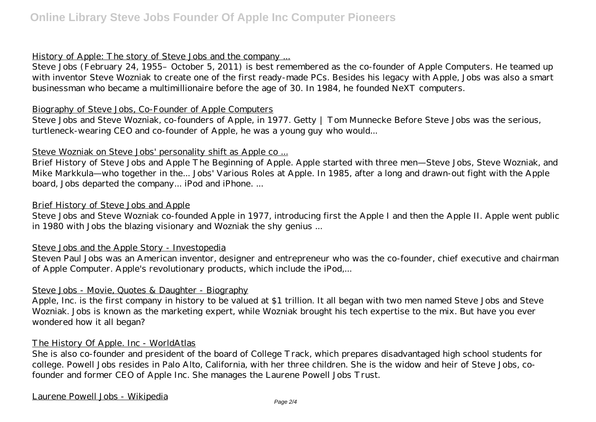# History of Apple: The story of Steve Jobs and the company ...

Steve Jobs (February 24, 1955– October 5, 2011) is best remembered as the co-founder of Apple Computers. He teamed up with inventor Steve Wozniak to create one of the first ready-made PCs. Besides his legacy with Apple, Jobs was also a smart businessman who became a multimillionaire before the age of 30. In 1984, he founded NeXT computers.

#### Biography of Steve Jobs, Co-Founder of Apple Computers

Steve Jobs and Steve Wozniak, co-founders of Apple, in 1977. Getty | Tom Munnecke Before Steve Jobs was the serious, turtleneck-wearing CEO and co-founder of Apple, he was a young guy who would...

# Steve Wozniak on Steve Jobs' personality shift as Apple co ...

Brief History of Steve Jobs and Apple The Beginning of Apple. Apple started with three men—Steve Jobs, Steve Wozniak, and Mike Markkula—who together in the... Jobs' Various Roles at Apple. In 1985, after a long and drawn-out fight with the Apple board, Jobs departed the company... iPod and iPhone. ...

#### Brief History of Steve Jobs and Apple

Steve Jobs and Steve Wozniak co-founded Apple in 1977, introducing first the Apple I and then the Apple II. Apple went public in 1980 with Jobs the blazing visionary and Wozniak the shy genius ...

# Steve Jobs and the Apple Story - Investopedia

Steven Paul Jobs was an American inventor, designer and entrepreneur who was the co-founder, chief executive and chairman of Apple Computer. Apple's revolutionary products, which include the iPod,...

# Steve Jobs - Movie, Quotes & Daughter - Biography

Apple, Inc. is the first company in history to be valued at \$1 trillion. It all began with two men named Steve Jobs and Steve Wozniak. Jobs is known as the marketing expert, while Wozniak brought his tech expertise to the mix. But have you ever wondered how it all began?

# The History Of Apple. Inc - WorldAtlas

She is also co-founder and president of the board of College Track, which prepares disadvantaged high school students for college. Powell Jobs resides in Palo Alto, California, with her three children. She is the widow and heir of Steve Jobs, cofounder and former CEO of Apple Inc. She manages the Laurene Powell Jobs Trust.

#### Laurene Powell Jobs - Wikipedia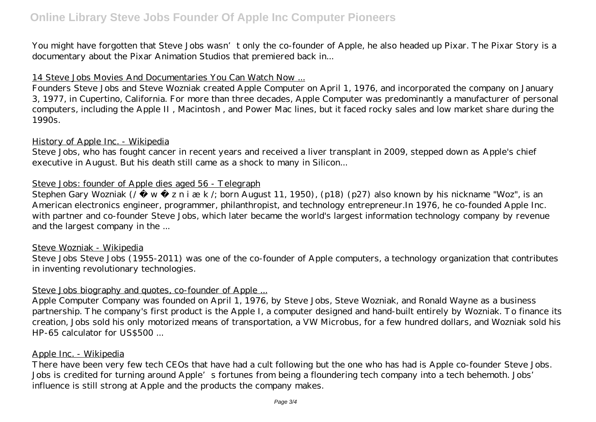# **Online Library Steve Jobs Founder Of Apple Inc Computer Pioneers**

You might have forgotten that Steve Jobs wasn't only the co-founder of Apple, he also headed up Pixar. The Pixar Story is a documentary about the Pixar Animation Studios that premiered back in...

#### 14 Steve Jobs Movies And Documentaries You Can Watch Now ...

Founders Steve Jobs and Steve Wozniak created Apple Computer on April 1, 1976, and incorporated the company on January 3, 1977, in Cupertino, California. For more than three decades, Apple Computer was predominantly a manufacturer of personal computers, including the Apple II , Macintosh , and Power Mac lines, but it faced rocky sales and low market share during the 1990s.

#### History of Apple Inc. - Wikipedia

Steve Jobs, who has fought cancer in recent years and received a liver transplant in 2009, stepped down as Apple's chief executive in August. But his death still came as a shock to many in Silicon...

#### Steve Jobs: founder of Apple dies aged 56 - Telegraph

Stephen Gary Wozniak (/  $w$  z n i æ k /; born August 11, 1950), (p18) (p27) also known by his nickname "Woz", is an American electronics engineer, programmer, philanthropist, and technology entrepreneur.In 1976, he co-founded Apple Inc. with partner and co-founder Steve Jobs, which later became the world's largest information technology company by revenue and the largest company in the ...

#### Steve Wozniak - Wikipedia

Steve Jobs Steve Jobs (1955-2011) was one of the co-founder of Apple computers, a technology organization that contributes in inventing revolutionary technologies.

# Steve Jobs biography and quotes, co-founder of Apple ...

Apple Computer Company was founded on April 1, 1976, by Steve Jobs, Steve Wozniak, and Ronald Wayne as a business partnership. The company's first product is the Apple I, a computer designed and hand-built entirely by Wozniak. To finance its creation, Jobs sold his only motorized means of transportation, a VW Microbus, for a few hundred dollars, and Wozniak sold his HP-65 calculator for US\$500 ...

#### Apple Inc. - Wikipedia

There have been very few tech CEOs that have had a cult following but the one who has had is Apple co-founder Steve Jobs. Jobs is credited for turning around Apple's fortunes from being a floundering tech company into a tech behemoth. Jobs' influence is still strong at Apple and the products the company makes.